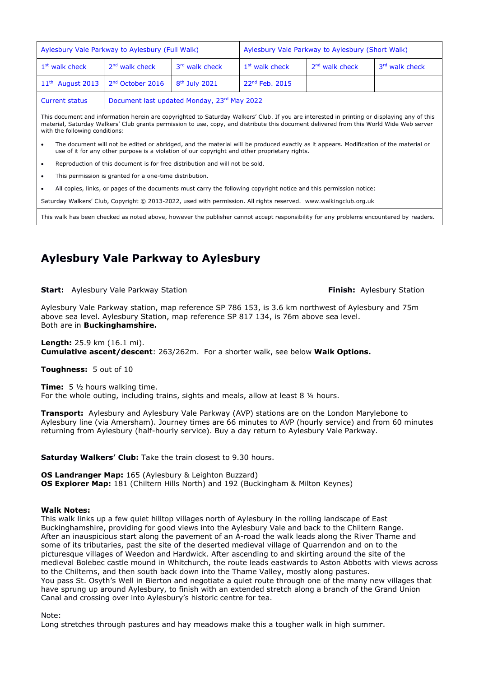| Aylesbury Vale Parkway to Aylesbury (Full Walk) |                                             |                            | Aylesbury Vale Parkway to Aylesbury (Short Walk) |                            |                |
|-------------------------------------------------|---------------------------------------------|----------------------------|--------------------------------------------------|----------------------------|----------------|
| 1 <sup>st</sup> walk check                      | $2nd$ walk check                            | 3 <sup>rd</sup> walk check | 1 <sup>st</sup> walk check                       | 2 <sup>nd</sup> walk check | 3rd walk check |
| $11th$ August 2013                              | 2 <sup>nd</sup> October 2016                | $8th$ July 2021            | $22^{nd}$ Feb. 2015                              |                            |                |
| <b>Current status</b>                           | Document last updated Monday, 23rd May 2022 |                            |                                                  |                            |                |

This document and information herein are copyrighted to Saturday Walkers' Club. If you are interested in printing or displaying any of this material, Saturday Walkers' Club grants permission to use, copy, and distribute this document delivered from this World Wide Web server with the following conditions:

- The document will not be edited or abridged, and the material will be produced exactly as it appears. Modification of the material or use of it for any other purpose is a violation of our copyright and other proprietary rights.
- Reproduction of this document is for free distribution and will not be sold.
- This permission is granted for a one-time distribution.
- All copies, links, or pages of the documents must carry the following copyright notice and this permission notice:

Saturday Walkers' Club, Copyright © 2013-2022, used with permission. All rights reserved. www.walkingclub.org.uk

This walk has been checked as noted above, however the publisher cannot accept responsibility for any problems encountered by readers.

# **Aylesbury Vale Parkway to Aylesbury**

**Start:** Aylesbury Vale Parkway Station **Finish: Aylesbury Station Finish: Aylesbury Station** 

Aylesbury Vale Parkway station, map reference SP 786 153, is 3.6 km northwest of Aylesbury and 75m above sea level. Aylesbury Station, map reference SP 817 134, is 76m above sea level. Both are in **Buckinghamshire.**

**Length:** 25.9 km (16.1 mi). **Cumulative ascent/descent**: 263/262m. For a shorter walk, see below **Walk Options.**

**Toughness:** 5 out of 10

**Time:** 5 ½ hours walking time. For the whole outing, including trains, sights and meals, allow at least 8 ¼ hours.

**Transport:** Aylesbury and Aylesbury Vale Parkway (AVP) stations are on the London Marylebone to Aylesbury line (via Amersham). Journey times are 66 minutes to AVP (hourly service) and from 60 minutes returning from Aylesbury (half-hourly service). Buy a day return to Aylesbury Vale Parkway.

**Saturday Walkers' Club:** Take the train closest to 9.30 hours.

**OS Landranger Map:** 165 (Aylesbury & Leighton Buzzard) **OS Explorer Map:** 181 (Chiltern Hills North) and 192 (Buckingham & Milton Keynes)

### **Walk Notes:**

This walk links up a few quiet hilltop villages north of Aylesbury in the rolling landscape of East Buckinghamshire, providing for good views into the Aylesbury Vale and back to the Chiltern Range. After an inauspicious start along the pavement of an A-road the walk leads along the River Thame and some of its tributaries, past the site of the deserted medieval village of Quarrendon and on to the picturesque villages of Weedon and Hardwick. After ascending to and skirting around the site of the medieval Bolebec castle mound in Whitchurch, the route leads eastwards to Aston Abbotts with views across to the Chilterns, and then south back down into the Thame Valley, mostly along pastures. You pass St. Osyth's Well in Bierton and negotiate a quiet route through one of the many new villages that have sprung up around Aylesbury, to finish with an extended stretch along a branch of the Grand Union Canal and crossing over into Aylesbury's historic centre for tea.

Note:

Long stretches through pastures and hay meadows make this a tougher walk in high summer.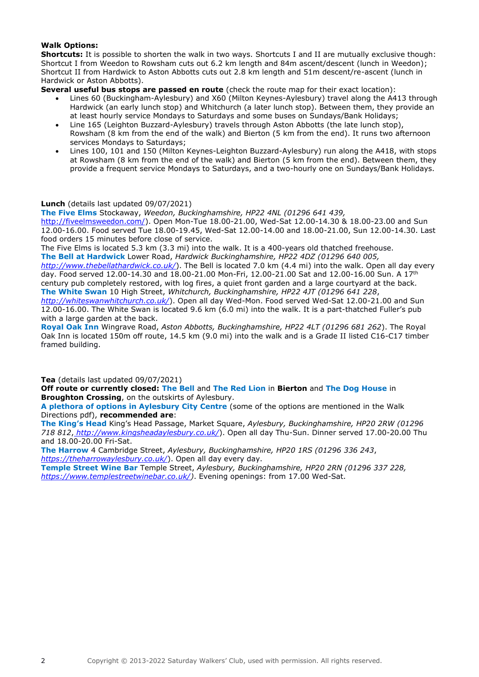### **Walk Options:**

**Shortcuts:** It is possible to shorten the walk in two ways. Shortcuts I and II are mutually exclusive though: Shortcut I from Weedon to Rowsham cuts out 6.2 km length and 84m ascent/descent (lunch in Weedon); Shortcut II from Hardwick to Aston Abbotts cuts out 2.8 km length and 51m descent/re-ascent (lunch in Hardwick or Aston Abbotts).

**Several useful bus stops are passed en route** (check the route map for their exact location):

- Lines 60 (Buckingham-Aylesbury) and X60 (Milton Keynes-Aylesbury) travel along the A413 through Hardwick (an early lunch stop) and Whitchurch (a later lunch stop). Between them, they provide an at least hourly service Mondays to Saturdays and some buses on Sundays/Bank Holidays;
- Line 165 (Leighton Buzzard-Aylesbury) travels through Aston Abbotts (the late lunch stop), Rowsham (8 km from the end of the walk) and Bierton (5 km from the end). It runs two afternoon services Mondays to Saturdays;
- Lines 100, 101 and 150 (Milton Keynes-Leighton Buzzard-Aylesbury) run along the A418, with stops at Rowsham (8 km from the end of the walk) and Bierton (5 km from the end). Between them, they provide a frequent service Mondays to Saturdays, and a two-hourly one on Sundays/Bank Holidays.

### **Lunch** (details last updated 09/07/2021)

**The Five Elms** Stockaway, *Weedon, Buckinghamshire, HP22 4NL (01296 641 439,*  [http://fiveelmsweedon.com/\)](http://fiveelmsweedon.com/). Open Mon-Tue 18.00-21.00, Wed-Sat 12.00-14.30 & 18.00-23.00 and Sun 12.00-16.00. Food served Tue 18.00-19.45, Wed-Sat 12.00-14.00 and 18.00-21.00, Sun 12.00-14.30. Last food orders 15 minutes before close of service.

The Five Elms is located 5.3 km (3.3 mi) into the walk. It is a 400-years old thatched freehouse. **The Bell at Hardwick** Lower Road, *Hardwick Buckinghamshire, HP22 4DZ (01296 640 005,* 

*<http://www.thebellathardwick.co.uk/>*). The Bell is located 7.0 km (4.4 mi) into the walk. Open all day every day. Food served 12.00-14.30 and 18.00-21.00 Mon-Fri, 12.00-21.00 Sat and 12.00-16.00 Sun. A 17th century pub completely restored, with log fires, a quiet front garden and a large courtyard at the back. **The White Swan** 10 High Street, *Whitchurch, Buckinghamshire, HP22 4JT (01296 641 228*,

*<http://whiteswanwhitchurch.co.uk/>*). Open all day Wed-Mon. Food served Wed-Sat 12.00-21.00 and Sun 12.00-16.00. The White Swan is located 9.6 km (6.0 mi) into the walk. It is a part-thatched Fuller's pub with a large garden at the back.

**Royal Oak Inn** Wingrave Road, *Aston Abbotts, Buckinghamshire, HP22 4LT (01296 681 262*). The Royal Oak Inn is located 150m off route, 14.5 km (9.0 mi) into the walk and is a Grade II listed C16-C17 timber framed building.

**Tea** (details last updated 09/07/2021)

**Off route or currently closed: The Bell** and **The Red Lion** in **Bierton** and **The Dog House** in **Broughton Crossing**, on the outskirts of Aylesbury.

**A plethora of options in Aylesbury City Centre** (some of the options are mentioned in the Walk Directions pdf), **recommended are**:

**The King's Head** King's Head Passage, Market Square, *Aylesbury, Buckinghamshire, HP20 2RW (01296 718 812*, *http://www.kingsheadaylesbury.co.uk/*). Open all day Thu-Sun. Dinner served 17.00-20.00 Thu and 18.00-20.00 Fri-Sat.

**The Harrow** 4 Cambridge Street, *Aylesbury, Buckinghamshire, HP20 1RS (01296 336 243*, *<https://theharrowaylesbury.co.uk/>*). Open all day every day.

**Temple Street Wine Bar** Temple Street, *Aylesbury, Buckinghamshire, HP20 2RN (01296 337 228, [https://www.templestreetwinebar.co.uk/\)](https://www.templestreetwinebar.co.uk/)*. Evening openings: from 17.00 Wed-Sat.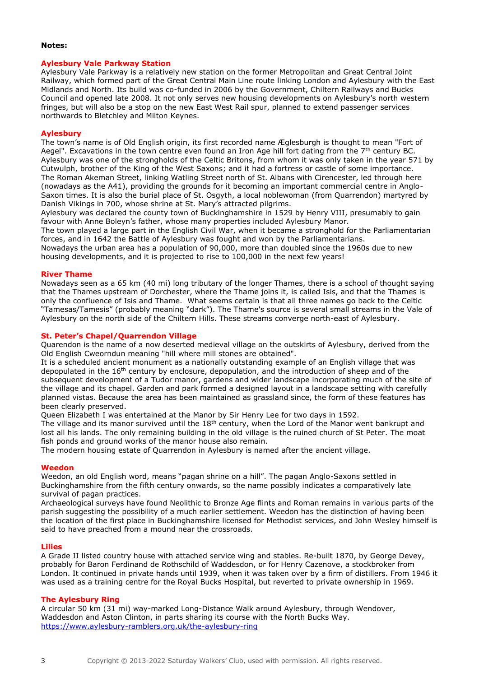#### **Notes:**

#### **Aylesbury Vale Parkway Station**

Aylesbury Vale Parkway is a relatively new station on the former Metropolitan and Great Central Joint Railway, which formed part of the Great Central Main Line route linking London and Aylesbury with the East Midlands and North. Its build was co-funded in 2006 by the Government, Chiltern Railways and Bucks Council and opened late 2008. It not only serves new housing developments on Aylesbury's north western fringes, but will also be a stop on the new East West Rail spur, planned to extend passenger services northwards to Bletchley and Milton Keynes.

### **Aylesbury**

The town's name is of Old English origin, its first recorded name Æglesburgh is thought to mean "Fort of Aegel". Excavations in the town centre even found an Iron Age hill fort dating from the 7<sup>th</sup> century BC. Aylesbury was one of the strongholds of the Celtic Britons, from whom it was only taken in the year 571 by Cutwulph, brother of the King of the West Saxons; and it had a fortress or castle of some importance. The Roman Akeman Street, linking Watling Street north of St. Albans with Cirencester, led through here (nowadays as the A41), providing the grounds for it becoming an important commercial centre in Anglo-Saxon times. It is also the burial place of St. Osgyth, a local noblewoman (from Quarrendon) martyred by Danish Vikings in 700, whose shrine at St. Mary's attracted pilgrims.

Aylesbury was declared the county town of Buckinghamshire in 1529 by Henry VIII, presumably to gain favour with Anne Boleyn's father, whose many properties included Aylesbury Manor.

The town played a large part in the English Civil War, when it became a stronghold for the Parliamentarian forces, and in 1642 the Battle of Aylesbury was fought and won by the Parliamentarians. Nowadays the urban area has a population of 90,000, more than doubled since the 1960s due to new

housing developments, and it is projected to rise to 100,000 in the next few years!

#### **River Thame**

Nowadays seen as a 65 km (40 mi) long tributary of the longer Thames, there is a school of thought saying that the Thames upstream of Dorchester, where the Thame joins it, is called Isis, and that the Thames is only the confluence of Isis and Thame. What seems certain is that all three names go back to the Celtic "Tamesas/Tamesis" (probably meaning "dark"). The Thame's source is several small streams in the Vale of Aylesbury on the north side of the Chiltern Hills. These streams converge north-east of Aylesbury.

#### **St. Peter's Chapel/Quarrendon Village**

Quarendon is the name of a now deserted medieval village on the outskirts of Aylesbury, derived from the Old English Cweorndun meaning "hill where mill stones are obtained".

It is a scheduled ancient monument as a nationally outstanding example of an English village that was depopulated in the 16<sup>th</sup> century by enclosure, depopulation, and the introduction of sheep and of the subsequent development of a Tudor manor, gardens and wider landscape incorporating much of the site of the village and its chapel. Garden and park formed a designed layout in a landscape setting with carefully planned vistas. Because the area has been maintained as grassland since, the form of these features has been clearly preserved.

Queen Elizabeth I was entertained at the Manor by Sir Henry Lee for two days in 1592.

The village and its manor survived until the 18<sup>th</sup> century, when the Lord of the Manor went bankrupt and lost all his lands. The only remaining building in the old village is the ruined church of St Peter. The moat fish ponds and ground works of the manor house also remain.

The modern housing estate of Quarrendon in Aylesbury is named after the ancient village.

#### **Weedon**

Weedon, an old English word, means "pagan shrine on a hill". The pagan Anglo-Saxons settled in Buckinghamshire from the fifth century onwards, so the name possibly indicates a comparatively late survival of pagan practices.

Archaeological surveys have found Neolithic to Bronze Age flints and Roman remains in various parts of the parish suggesting the possibility of a much earlier settlement. Weedon has the distinction of having been the location of the first place in Buckinghamshire licensed for Methodist services, and John Wesley himself is said to have preached from a mound near the crossroads.

#### **Lilies**

A Grade II listed country house with attached service wing and stables. Re-built 1870, by George Devey, probably for Baron Ferdinand de Rothschild of Waddesdon, or for Henry Cazenove, a stockbroker from London. It continued in private hands until 1939, when it was taken over by a firm of distillers. From 1946 it was used as a training centre for the Royal Bucks Hospital, but reverted to private ownership in 1969.

#### **The Aylesbury Ring**

A circular 50 km (31 mi) way-marked Long-Distance Walk around Aylesbury, through Wendover, Waddesdon and Aston Clinton, in parts sharing its course with the North Bucks Way. <https://www.aylesbury-ramblers.org.uk/the-aylesbury-ring>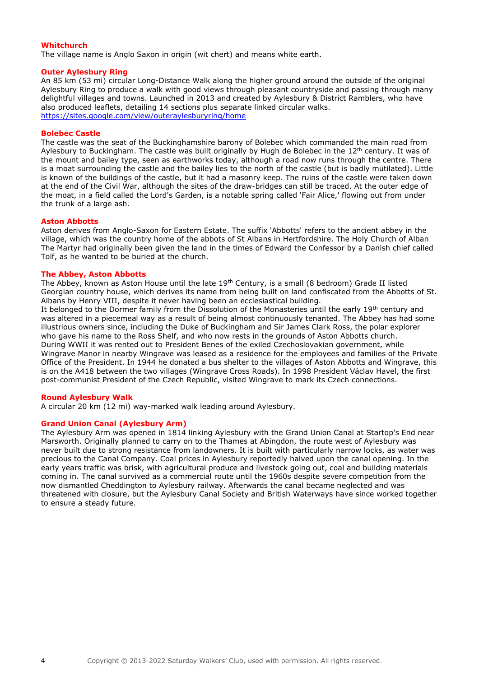#### **Whitchurch**

The village name is Anglo Saxon in origin (wit chert) and means white earth.

#### **Outer Aylesbury Ring**

An 85 km (53 mi) circular Long-Distance Walk along the higher ground around the outside of the original Aylesbury Ring to produce a walk with good views through pleasant countryside and passing through many delightful villages and towns. Launched in 2013 and created by Aylesbury & District Ramblers, who have also produced leaflets, detailing 14 sections plus separate linked circular walks. <https://sites.google.com/view/outeraylesburyring/home>

#### **Bolebec Castle**

The castle was the seat of the Buckinghamshire barony of Bolebec which commanded the main road from Aylesbury to Buckingham. The castle was built originally by Hugh de Bolebec in the  $12<sup>th</sup>$  century. It was of the mount and bailey type, seen as earthworks today, although a road now runs through the centre. There is a moat surrounding the castle and the bailey lies to the north of the castle (but is badly mutilated). Little is known of the buildings of the castle, but it had a masonry keep. The ruins of the castle were taken down at the end of the Civil War, although the sites of the draw-bridges can still be traced. At the outer edge of the moat, in a field called the Lord's Garden, is a notable spring called 'Fair Alice,' flowing out from under the trunk of a large ash.

#### **Aston Abbotts**

Aston derives from Anglo-Saxon for Eastern Estate. The suffix 'Abbotts' refers to the ancient abbey in the village, which was the country home of the abbots of St Albans in Hertfordshire. The Holy Church of Alban The Martyr had originally been given the land in the times of Edward the Confessor by a Danish chief called Tolf, as he wanted to be buried at the church.

#### **The Abbey, Aston Abbotts**

The Abbey, known as Aston House until the late 19<sup>th</sup> Century, is a small (8 bedroom) Grade II listed Georgian country house, which derives its name from being built on land confiscated from the Abbotts of St. Albans by Henry VIII, despite it never having been an ecclesiastical building.

It belonged to the Dormer family from the Dissolution of the Monasteries until the early 19<sup>th</sup> century and was altered in a piecemeal way as a result of being almost continuously tenanted. The Abbey has had some illustrious owners since, including the Duke of Buckingham and Sir James Clark Ross, the polar explorer who gave his name to the Ross Shelf, and who now rests in the grounds of Aston Abbotts church. During WWII it was rented out to President Benes of the exiled Czechoslovakian government, while Wingrave Manor in nearby Wingrave was leased as a residence for the employees and families of the Private Office of the President. In 1944 he donated a bus shelter to the villages of Aston Abbotts and Wingrave, this is on the A418 between the two villages (Wingrave Cross Roads). In 1998 President Václav Havel, the first post-communist President of the Czech Republic, visited Wingrave to mark its Czech connections.

#### **Round Aylesbury Walk**

A circular 20 km (12 mi) way-marked walk leading around Aylesbury.

#### **Grand Union Canal (Aylesbury Arm)**

The Aylesbury Arm was opened in 1814 linking Aylesbury with the Grand Union Canal at Startop's End near Marsworth. Originally planned to carry on to the Thames at Abingdon, the route west of Aylesbury was never built due to strong resistance from landowners. It is built with particularly narrow locks, as water was precious to the Canal Company. Coal prices in Aylesbury reportedly halved upon the canal opening. In the early years traffic was brisk, with agricultural produce and livestock going out, coal and building materials coming in. The canal survived as a commercial route until the 1960s despite severe competition from the now dismantled Cheddington to Aylesbury railway. Afterwards the canal became neglected and was threatened with closure, but the Aylesbury Canal Society and British Waterways have since worked together to ensure a steady future.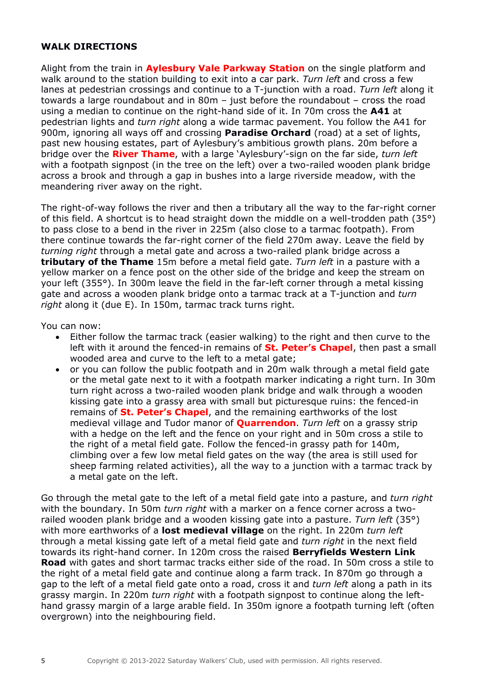# **WALK DIRECTIONS**

Alight from the train in **Aylesbury Vale Parkway Station** on the single platform and walk around to the station building to exit into a car park. *Turn left* and cross a few lanes at pedestrian crossings and continue to a T-junction with a road. *Turn left* along it towards a large roundabout and in 80m – just before the roundabout – cross the road using a median to continue on the right-hand side of it. In 70m cross the **A41** at pedestrian lights and *turn right* along a wide tarmac pavement. You follow the A41 for 900m, ignoring all ways off and crossing **Paradise Orchard** (road) at a set of lights, past new housing estates, part of Aylesbury's ambitious growth plans. 20m before a bridge over the **River Thame**, with a large 'Aylesbury'-sign on the far side, *turn left* with a footpath signpost (in the tree on the left) over a two-railed wooden plank bridge across a brook and through a gap in bushes into a large riverside meadow, with the meandering river away on the right.

The right-of-way follows the river and then a tributary all the way to the far-right corner of this field. A shortcut is to head straight down the middle on a well-trodden path (35°) to pass close to a bend in the river in 225m (also close to a tarmac footpath). From there continue towards the far-right corner of the field 270m away. Leave the field by *turning right* through a metal gate and across a two-railed plank bridge across a **tributary of the Thame** 15m before a metal field gate. *Turn left* in a pasture with a yellow marker on a fence post on the other side of the bridge and keep the stream on your left (355°). In 300m leave the field in the far-left corner through a metal kissing gate and across a wooden plank bridge onto a tarmac track at a T-junction and *turn right* along it (due E). In 150m, tarmac track turns right.

You can now:

- Either follow the tarmac track (easier walking) to the right and then curve to the left with it around the fenced-in remains of **St. Peter's Chapel**, then past a small wooded area and curve to the left to a metal gate;
- or you can follow the public footpath and in 20m walk through a metal field gate or the metal gate next to it with a footpath marker indicating a right turn. In 30m turn right across a two-railed wooden plank bridge and walk through a wooden kissing gate into a grassy area with small but picturesque ruins: the fenced-in remains of **St. Peter's Chapel**, and the remaining earthworks of the lost medieval village and Tudor manor of **Quarrendon**. *Turn left* on a grassy strip with a hedge on the left and the fence on your right and in 50m cross a stile to the right of a metal field gate. Follow the fenced-in grassy path for 140m, climbing over a few low metal field gates on the way (the area is still used for sheep farming related activities), all the way to a junction with a tarmac track by a metal gate on the left.

Go through the metal gate to the left of a metal field gate into a pasture, and *turn right* with the boundary. In 50m *turn right* with a marker on a fence corner across a tworailed wooden plank bridge and a wooden kissing gate into a pasture. *Turn left* (35°) with more earthworks of a **lost medieval village** on the right. In 220m *turn left* through a metal kissing gate left of a metal field gate and *turn right* in the next field towards its right-hand corner. In 120m cross the raised **Berryfields Western Link Road** with gates and short tarmac tracks either side of the road. In 50m cross a stile to the right of a metal field gate and continue along a farm track. In 870m go through a gap to the left of a metal field gate onto a road, cross it and *turn left* along a path in its grassy margin. In 220m *turn right* with a footpath signpost to continue along the lefthand grassy margin of a large arable field. In 350m ignore a footpath turning left (often overgrown) into the neighbouring field.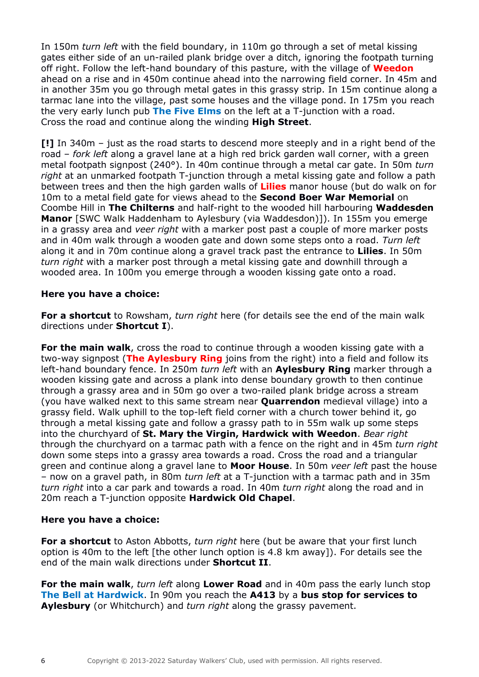In 150m *turn left* with the field boundary, in 110m go through a set of metal kissing gates either side of an un-railed plank bridge over a ditch, ignoring the footpath turning off right. Follow the left-hand boundary of this pasture, with the village of **Weedon** ahead on a rise and in 450m continue ahead into the narrowing field corner. In 45m and in another 35m you go through metal gates in this grassy strip. In 15m continue along a tarmac lane into the village, past some houses and the village pond. In 175m you reach the very early lunch pub **The Five Elms** on the left at a T-junction with a road. Cross the road and continue along the winding **High Street**.

**[!]** In 340m – just as the road starts to descend more steeply and in a right bend of the road – *fork left* along a gravel lane at a high red brick garden wall corner, with a green metal footpath signpost (240°). In 40m continue through a metal car gate. In 50m *turn right* at an unmarked footpath T-junction through a metal kissing gate and follow a path between trees and then the high garden walls of **Lilies** manor house (but do walk on for 10m to a metal field gate for views ahead to the **Second Boer War Memorial** on Coombe Hill in **The Chilterns** and half-right to the wooded hill harbouring **Waddesden Manor** [SWC Walk Haddenham to Aylesbury (via Waddesdon)]). In 155m you emerge in a grassy area and *veer right* with a marker post past a couple of more marker posts and in 40m walk through a wooden gate and down some steps onto a road. *Turn left* along it and in 70m continue along a gravel track past the entrance to **Lilies**. In 50m *turn right* with a marker post through a metal kissing gate and downhill through a wooded area. In 100m you emerge through a wooden kissing gate onto a road.

# **Here you have a choice:**

**For a shortcut** to Rowsham, *turn right* here (for details see the end of the main walk directions under **Shortcut I**).

**For the main walk**, cross the road to continue through a wooden kissing gate with a two-way signpost (**The Aylesbury Ring** joins from the right) into a field and follow its left-hand boundary fence. In 250m *turn left* with an **Aylesbury Ring** marker through a wooden kissing gate and across a plank into dense boundary growth to then continue through a grassy area and in 50m go over a two-railed plank bridge across a stream (you have walked next to this same stream near **Quarrendon** medieval village) into a grassy field. Walk uphill to the top-left field corner with a church tower behind it, go through a metal kissing gate and follow a grassy path to in 55m walk up some steps into the churchyard of **St. Mary the Virgin, Hardwick with Weedon**. *Bear right* through the churchyard on a tarmac path with a fence on the right and in 45m *turn right* down some steps into a grassy area towards a road. Cross the road and a triangular green and continue along a gravel lane to **Moor House**. In 50m *veer left* past the house – now on a gravel path, in 80m *turn left* at a T-junction with a tarmac path and in 35m *turn right* into a car park and towards a road. In 40m *turn right* along the road and in 20m reach a T-junction opposite **Hardwick Old Chapel**.

# **Here you have a choice:**

**For a shortcut** to Aston Abbotts, *turn right* here (but be aware that your first lunch option is 40m to the left [the other lunch option is 4.8 km away]). For details see the end of the main walk directions under **Shortcut II**.

**For the main walk**, *turn left* along **Lower Road** and in 40m pass the early lunch stop **The Bell at Hardwick**. In 90m you reach the **A413** by a **bus stop for services to Aylesbury** (or Whitchurch) and *turn right* along the grassy pavement.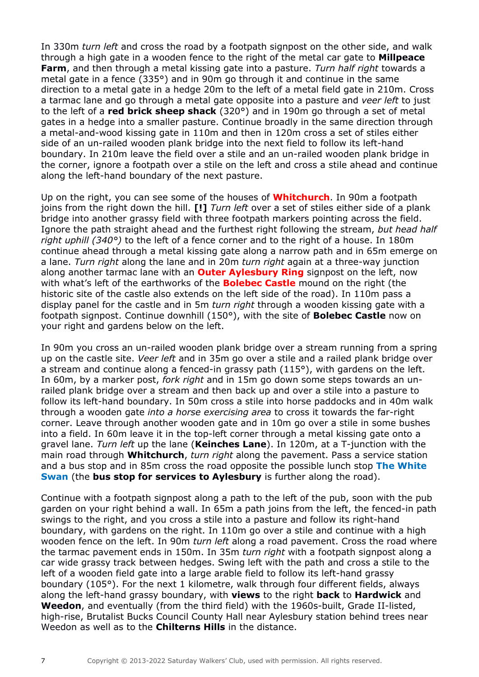In 330m *turn left* and cross the road by a footpath signpost on the other side, and walk through a high gate in a wooden fence to the right of the metal car gate to **Millpeace Farm**, and then through a metal kissing gate into a pasture. *Turn half right* towards a metal gate in a fence (335°) and in 90m go through it and continue in the same direction to a metal gate in a hedge 20m to the left of a metal field gate in 210m. Cross a tarmac lane and go through a metal gate opposite into a pasture and *veer left* to just to the left of a **red brick sheep shack** (320°) and in 190m go through a set of metal gates in a hedge into a smaller pasture. Continue broadly in the same direction through a metal-and-wood kissing gate in 110m and then in 120m cross a set of stiles either side of an un-railed wooden plank bridge into the next field to follow its left-hand boundary. In 210m leave the field over a stile and an un-railed wooden plank bridge in the corner, ignore a footpath over a stile on the left and cross a stile ahead and continue along the left-hand boundary of the next pasture.

Up on the right, you can see some of the houses of **Whitchurch**. In 90m a footpath joins from the right down the hill. **[!]** *Turn left* over a set of stiles either side of a plank bridge into another grassy field with three footpath markers pointing across the field. Ignore the path straight ahead and the furthest right following the stream, *but head half right uphill (340°)* to the left of a fence corner and to the right of a house. In 180m continue ahead through a metal kissing gate along a narrow path and in 65m emerge on a lane. *Turn right* along the lane and in 20m *turn right* again at a three-way junction along another tarmac lane with an **Outer Aylesbury Ring** signpost on the left, now with what's left of the earthworks of the **Bolebec Castle** mound on the right (the historic site of the castle also extends on the left side of the road). In 110m pass a display panel for the castle and in 5m *turn right* through a wooden kissing gate with a footpath signpost. Continue downhill (150°), with the site of **Bolebec Castle** now on your right and gardens below on the left.

In 90m you cross an un-railed wooden plank bridge over a stream running from a spring up on the castle site. *Veer left* and in 35m go over a stile and a railed plank bridge over a stream and continue along a fenced-in grassy path (115°), with gardens on the left. In 60m, by a marker post, *fork right* and in 15m go down some steps towards an unrailed plank bridge over a stream and then back up and over a stile into a pasture to follow its left-hand boundary. In 50m cross a stile into horse paddocks and in 40m walk through a wooden gate *into a horse exercising area* to cross it towards the far-right corner. Leave through another wooden gate and in 10m go over a stile in some bushes into a field. In 60m leave it in the top-left corner through a metal kissing gate onto a gravel lane. *Turn left* up the lane (**Keinches Lane**). In 120m, at a T-junction with the main road through **Whitchurch**, *turn right* along the pavement. Pass a service station and a bus stop and in 85m cross the road opposite the possible lunch stop **The White Swan** (the **bus stop for services to Aylesbury** is further along the road).

Continue with a footpath signpost along a path to the left of the pub, soon with the pub garden on your right behind a wall. In 65m a path joins from the left, the fenced-in path swings to the right, and you cross a stile into a pasture and follow its right-hand boundary, with gardens on the right. In 110m go over a stile and continue with a high wooden fence on the left. In 90m *turn left* along a road pavement. Cross the road where the tarmac pavement ends in 150m. In 35m *turn right* with a footpath signpost along a car wide grassy track between hedges. Swing left with the path and cross a stile to the left of a wooden field gate into a large arable field to follow its left-hand grassy boundary (105°). For the next 1 kilometre, walk through four different fields, always along the left-hand grassy boundary, with **views** to the right **back** to **Hardwick** and **Weedon**, and eventually (from the third field) with the 1960s-built, Grade II-listed, high-rise, Brutalist Bucks Council County Hall near Aylesbury station behind trees near Weedon as well as to the **Chilterns Hills** in the distance.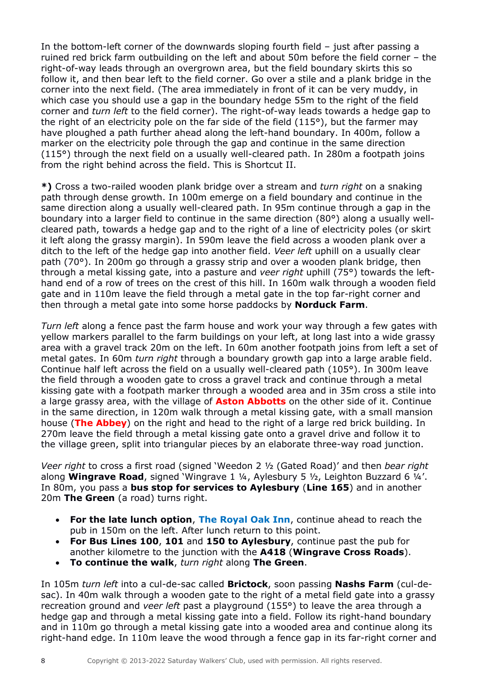In the bottom-left corner of the downwards sloping fourth field – just after passing a ruined red brick farm outbuilding on the left and about 50m before the field corner – the right-of-way leads through an overgrown area, but the field boundary skirts this so follow it, and then bear left to the field corner. Go over a stile and a plank bridge in the corner into the next field. (The area immediately in front of it can be very muddy, in which case you should use a gap in the boundary hedge 55m to the right of the field corner and *turn left* to the field corner). The right-of-way leads towards a hedge gap to the right of an electricity pole on the far side of the field (115°), but the farmer may have ploughed a path further ahead along the left-hand boundary. In 400m, follow a marker on the electricity pole through the gap and continue in the same direction (115°) through the next field on a usually well-cleared path. In 280m a footpath joins from the right behind across the field. This is Shortcut II.

**\*)** Cross a two-railed wooden plank bridge over a stream and *turn right* on a snaking path through dense growth. In 100m emerge on a field boundary and continue in the same direction along a usually well-cleared path. In 95m continue through a gap in the boundary into a larger field to continue in the same direction (80°) along a usually wellcleared path, towards a hedge gap and to the right of a line of electricity poles (or skirt it left along the grassy margin). In 590m leave the field across a wooden plank over a ditch to the left of the hedge gap into another field. *Veer left* uphill on a usually clear path (70°). In 200m go through a grassy strip and over a wooden plank bridge, then through a metal kissing gate, into a pasture and *veer right* uphill (75°) towards the lefthand end of a row of trees on the crest of this hill. In 160m walk through a wooden field gate and in 110m leave the field through a metal gate in the top far-right corner and then through a metal gate into some horse paddocks by **Norduck Farm**.

*Turn left* along a fence past the farm house and work your way through a few gates with yellow markers parallel to the farm buildings on your left, at long last into a wide grassy area with a gravel track 20m on the left. In 60m another footpath joins from left a set of metal gates. In 60m *turn right* through a boundary growth gap into a large arable field. Continue half left across the field on a usually well-cleared path (105°). In 300m leave the field through a wooden gate to cross a gravel track and continue through a metal kissing gate with a footpath marker through a wooded area and in 35m cross a stile into a large grassy area, with the village of **Aston Abbotts** on the other side of it. Continue in the same direction, in 120m walk through a metal kissing gate, with a small mansion house (**The Abbey**) on the right and head to the right of a large red brick building. In 270m leave the field through a metal kissing gate onto a gravel drive and follow it to the village green, split into triangular pieces by an elaborate three-way road junction.

*Veer right* to cross a first road (signed 'Weedon 2 ½ (Gated Road)' and then *bear right* along **Wingrave Road**, signed 'Wingrave 1 ¼, Aylesbury 5 ½, Leighton Buzzard 6 ¼'. In 80m, you pass a **bus stop for services to Aylesbury** (**Line 165**) and in another 20m **The Green** (a road) turns right.

- **For the late lunch option**, **The Royal Oak Inn**, continue ahead to reach the pub in 150m on the left. After lunch return to this point.
- **For Bus Lines 100**, **101** and **150 to Aylesbury**, continue past the pub for another kilometre to the junction with the **A418** (**Wingrave Cross Roads**).
- **To continue the walk**, *turn right* along **The Green**.

In 105m *turn left* into a cul-de-sac called **Brictock**, soon passing **Nashs Farm** (cul-desac). In 40m walk through a wooden gate to the right of a metal field gate into a grassy recreation ground and *veer left* past a playground (155°) to leave the area through a hedge gap and through a metal kissing gate into a field. Follow its right-hand boundary and in 110m go through a metal kissing gate into a wooded area and continue along its right-hand edge. In 110m leave the wood through a fence gap in its far-right corner and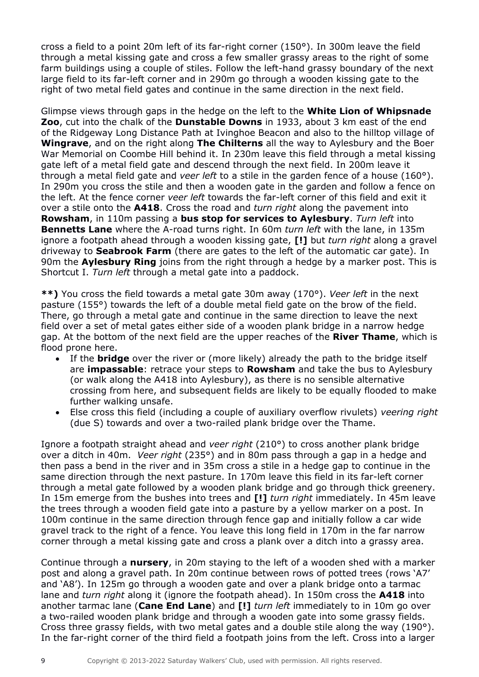cross a field to a point 20m left of its far-right corner (150°). In 300m leave the field through a metal kissing gate and cross a few smaller grassy areas to the right of some farm buildings using a couple of stiles. Follow the left-hand grassy boundary of the next large field to its far-left corner and in 290m go through a wooden kissing gate to the right of two metal field gates and continue in the same direction in the next field.

Glimpse views through gaps in the hedge on the left to the **White Lion of Whipsnade Zoo**, cut into the chalk of the **Dunstable Downs** in 1933, about 3 km east of the end of the Ridgeway Long Distance Path at Ivinghoe Beacon and also to the hilltop village of **Wingrave**, and on the right along **The Chilterns** all the way to Aylesbury and the Boer War Memorial on Coombe Hill behind it. In 230m leave this field through a metal kissing gate left of a metal field gate and descend through the next field. In 200m leave it through a metal field gate and *veer left* to a stile in the garden fence of a house (160°). In 290m you cross the stile and then a wooden gate in the garden and follow a fence on the left. At the fence corner *veer left* towards the far-left corner of this field and exit it over a stile onto the **A418**. Cross the road and *turn right* along the pavement into **Rowsham**, in 110m passing a **bus stop for services to Aylesbury**. *Turn left* into **Bennetts Lane** where the A-road turns right. In 60m *turn left* with the lane, in 135m ignore a footpath ahead through a wooden kissing gate, **[!]** but *turn right* along a gravel driveway to **Seabrook Farm** (there are gates to the left of the automatic car gate). In 90m the **Aylesbury Ring** joins from the right through a hedge by a marker post. This is Shortcut I. *Turn left* through a metal gate into a paddock.

**\*\*)** You cross the field towards a metal gate 30m away (170°). *Veer left* in the next pasture (155°) towards the left of a double metal field gate on the brow of the field. There, go through a metal gate and continue in the same direction to leave the next field over a set of metal gates either side of a wooden plank bridge in a narrow hedge gap. At the bottom of the next field are the upper reaches of the **River Thame**, which is flood prone here.

- If the **bridge** over the river or (more likely) already the path to the bridge itself are **impassable**: retrace your steps to **Rowsham** and take the bus to Aylesbury (or walk along the A418 into Aylesbury), as there is no sensible alternative crossing from here, and subsequent fields are likely to be equally flooded to make further walking unsafe.
- Else cross this field (including a couple of auxiliary overflow rivulets) *veering right* (due S) towards and over a two-railed plank bridge over the Thame.

Ignore a footpath straight ahead and *veer right* (210°) to cross another plank bridge over a ditch in 40m. *Veer right* (235°) and in 80m pass through a gap in a hedge and then pass a bend in the river and in 35m cross a stile in a hedge gap to continue in the same direction through the next pasture. In 170m leave this field in its far-left corner through a metal gate followed by a wooden plank bridge and go through thick greenery. In 15m emerge from the bushes into trees and **[!]** *turn right* immediately. In 45m leave the trees through a wooden field gate into a pasture by a yellow marker on a post. In 100m continue in the same direction through fence gap and initially follow a car wide gravel track to the right of a fence. You leave this long field in 170m in the far narrow corner through a metal kissing gate and cross a plank over a ditch into a grassy area.

Continue through a **nursery**, in 20m staying to the left of a wooden shed with a marker post and along a gravel path. In 20m continue between rows of potted trees (rows 'A7' and 'A8'). In 125m go through a wooden gate and over a plank bridge onto a tarmac lane and *turn right* along it (ignore the footpath ahead). In 150m cross the **A418** into another tarmac lane (**Cane End Lane**) and **[!]** *turn left* immediately to in 10m go over a two-railed wooden plank bridge and through a wooden gate into some grassy fields. Cross three grassy fields, with two metal gates and a double stile along the way (190°). In the far-right corner of the third field a footpath joins from the left. Cross into a larger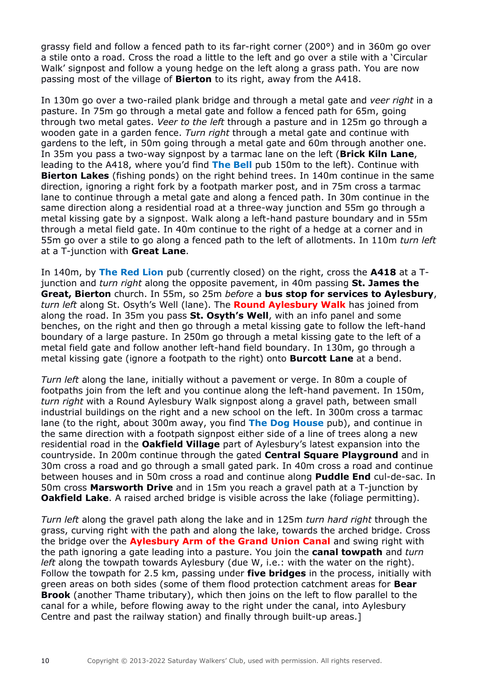grassy field and follow a fenced path to its far-right corner (200°) and in 360m go over a stile onto a road. Cross the road a little to the left and go over a stile with a 'Circular Walk' signpost and follow a young hedge on the left along a grass path. You are now passing most of the village of **Bierton** to its right, away from the A418.

In 130m go over a two-railed plank bridge and through a metal gate and *veer right* in a pasture. In 75m go through a metal gate and follow a fenced path for 65m, going through two metal gates. *Veer to the left* through a pasture and in 125m go through a wooden gate in a garden fence. *Turn right* through a metal gate and continue with gardens to the left, in 50m going through a metal gate and 60m through another one. In 35m you pass a two-way signpost by a tarmac lane on the left (**Brick Kiln Lane**, leading to the A418, where you'd find **The Bell** pub 150m to the left). Continue with **Bierton Lakes** (fishing ponds) on the right behind trees. In 140m continue in the same direction, ignoring a right fork by a footpath marker post, and in 75m cross a tarmac lane to continue through a metal gate and along a fenced path. In 30m continue in the same direction along a residential road at a three-way junction and 55m go through a metal kissing gate by a signpost. Walk along a left-hand pasture boundary and in 55m through a metal field gate. In 40m continue to the right of a hedge at a corner and in 55m go over a stile to go along a fenced path to the left of allotments. In 110m *turn left* at a T-junction with **Great Lane**.

In 140m, by **The Red Lion** pub (currently closed) on the right, cross the **A418** at a Tjunction and *turn right* along the opposite pavement, in 40m passing **St. James the Great, Bierton** church. In 55m, so 25m *before* a **bus stop for services to Aylesbury**, *turn left* along St. Osyth's Well (lane). The **Round Aylesbury Walk** has joined from along the road. In 35m you pass **St. Osyth's Well**, with an info panel and some benches, on the right and then go through a metal kissing gate to follow the left-hand boundary of a large pasture. In 250m go through a metal kissing gate to the left of a metal field gate and follow another left-hand field boundary. In 130m, go through a metal kissing gate (ignore a footpath to the right) onto **Burcott Lane** at a bend.

*Turn left* along the lane, initially without a pavement or verge. In 80m a couple of footpaths join from the left and you continue along the left-hand pavement. In 150m, *turn right* with a Round Aylesbury Walk signpost along a gravel path, between small industrial buildings on the right and a new school on the left. In 300m cross a tarmac lane (to the right, about 300m away, you find **The Dog House** pub), and continue in the same direction with a footpath signpost either side of a line of trees along a new residential road in the **Oakfield Village** part of Aylesbury's latest expansion into the countryside. In 200m continue through the gated **Central Square Playground** and in 30m cross a road and go through a small gated park. In 40m cross a road and continue between houses and in 50m cross a road and continue along **Puddle End** cul-de-sac. In 50m cross **Marsworth Drive** and in 15m you reach a gravel path at a T-junction by **Oakfield Lake**. A raised arched bridge is visible across the lake (foliage permitting).

*Turn left* along the gravel path along the lake and in 125m *turn hard right* through the grass, curving right with the path and along the lake, towards the arched bridge. Cross the bridge over the **Aylesbury Arm of the Grand Union Canal** and swing right with the path ignoring a gate leading into a pasture. You join the **canal towpath** and *turn left* along the towpath towards Aylesbury (due W, i.e.: with the water on the right). Follow the towpath for 2.5 km, passing under **five bridges** in the process, initially with green areas on both sides (some of them flood protection catchment areas for **Bear Brook** (another Thame tributary), which then joins on the left to flow parallel to the canal for a while, before flowing away to the right under the canal, into Aylesbury Centre and past the railway station) and finally through built-up areas.]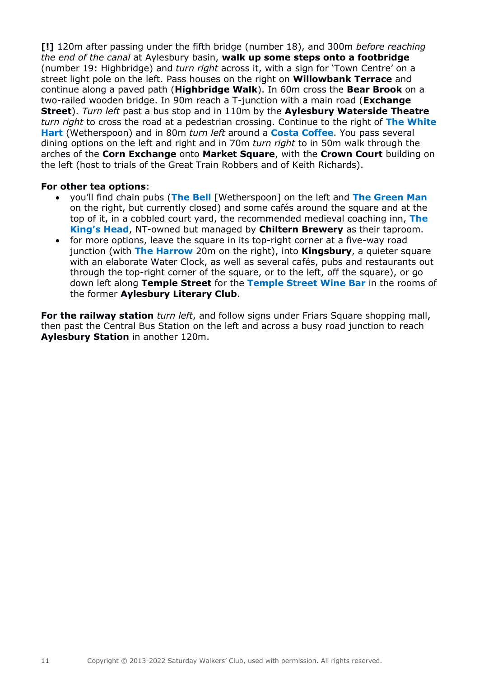**[!]** 120m after passing under the fifth bridge (number 18), and 300m *before reaching the end of the canal* at Aylesbury basin, **walk up some steps onto a footbridge** (number 19: Highbridge) and *turn right* across it, with a sign for 'Town Centre' on a street light pole on the left. Pass houses on the right on **Willowbank Terrace** and continue along a paved path (**Highbridge Walk**). In 60m cross the **Bear Brook** on a two-railed wooden bridge. In 90m reach a T-junction with a main road (**Exchange Street**). *Turn left* past a bus stop and in 110m by the **Aylesbury Waterside Theatre** *turn right* to cross the road at a pedestrian crossing. Continue to the right of **The White Hart** (Wetherspoon) and in 80m *turn left* around a **Costa Coffee**. You pass several dining options on the left and right and in 70m *turn right* to in 50m walk through the arches of the **Corn Exchange** onto **Market Square**, with the **Crown Court** building on the left (host to trials of the Great Train Robbers and of Keith Richards).

## **For other tea options**:

- you'll find chain pubs (**The Bell** [Wetherspoon] on the left and **The Green Man** on the right, but currently closed) and some cafés around the square and at the top of it, in a cobbled court yard, the recommended medieval coaching inn, **The King's Head**, NT-owned but managed by **Chiltern Brewery** as their taproom.
- for more options, leave the square in its top-right corner at a five-way road junction (with **The Harrow** 20m on the right), into **Kingsbury**, a quieter square with an elaborate Water Clock, as well as several cafés, pubs and restaurants out through the top-right corner of the square, or to the left, off the square), or go down left along **Temple Street** for the **Temple Street Wine Bar** in the rooms of the former **Aylesbury Literary Club**.

**For the railway station** *turn left*, and follow signs under Friars Square shopping mall, then past the Central Bus Station on the left and across a busy road junction to reach **Aylesbury Station** in another 120m.